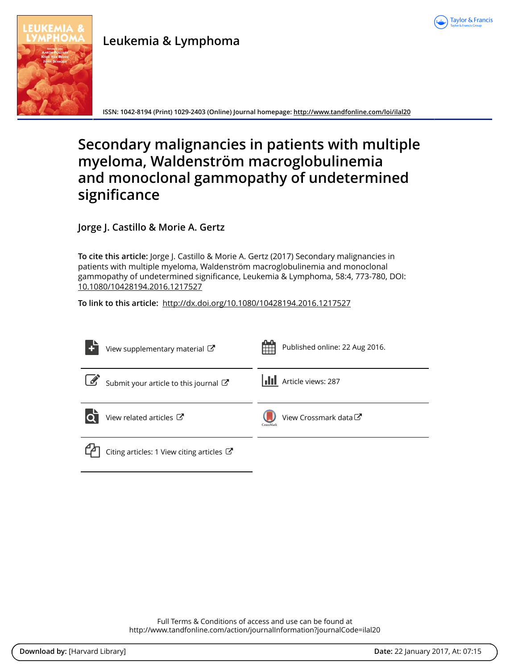

## **Leukemia & Lymphoma**



**ISSN: 1042-8194 (Print) 1029-2403 (Online) Journal homepage:<http://www.tandfonline.com/loi/ilal20>**

# **Secondary malignancies in patients with multiple myeloma, Waldenström macroglobulinemia and monoclonal gammopathy of undetermined significance**

**Jorge J. Castillo & Morie A. Gertz**

**To cite this article:** Jorge J. Castillo & Morie A. Gertz (2017) Secondary malignancies in patients with multiple myeloma, Waldenström macroglobulinemia and monoclonal gammopathy of undetermined significance, Leukemia & Lymphoma, 58:4, 773-780, DOI: [10.1080/10428194.2016.1217527](http://www.tandfonline.com/action/showCitFormats?doi=10.1080/10428194.2016.1217527)

**To link to this article:** <http://dx.doi.org/10.1080/10428194.2016.1217527>

|           | View supplementary material C                        | Published online: 22 Aug 2016.<br> |
|-----------|------------------------------------------------------|------------------------------------|
| $\bigcup$ | Submit your article to this journal                  | <b>III</b> Article views: 287      |
| lď        | View related articles C                              | View Crossmark data C<br>CrossMark |
|           | Citing articles: 1 View citing articles $\mathbb{Z}$ |                                    |

Full Terms & Conditions of access and use can be found at <http://www.tandfonline.com/action/journalInformation?journalCode=ilal20>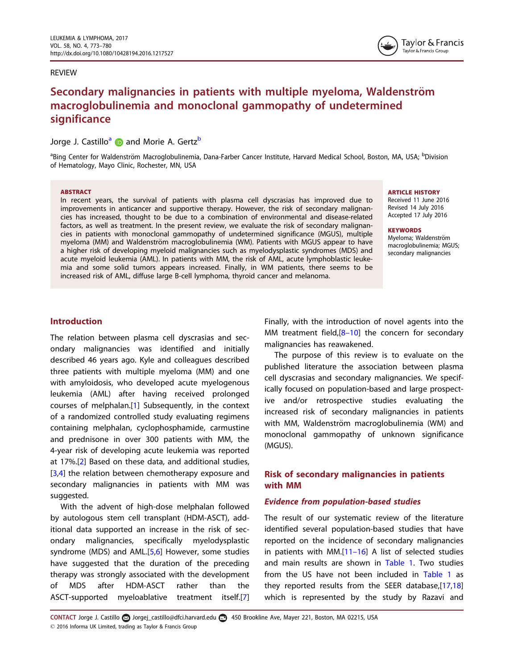#### <span id="page-1-0"></span>REVIEW

### Secondary malignancies in patients with multiple myeloma, Waldenström macroglobulinemia and monoclonal gammopathy of undetermined significance

Jorge J. Castillo<sup>a</sup> **D** and Morie A. Gertz<sup>b</sup>

<sup>a</sup>Bing Center for Waldenström Macroglobulinemia, Dana-Farber Cancer Institute, Harvard Medical School, Boston, MA, USA; <sup>b</sup>Division of Hematology, Mayo Clinic, Rochester, MN, USA

#### ABSTRACT

In recent years, the survival of patients with plasma cell dyscrasias has improved due to improvements in anticancer and supportive therapy. However, the risk of secondary malignancies has increased, thought to be due to a combination of environmental and disease-related factors, as well as treatment. In the present review, we evaluate the risk of secondary malignancies in patients with monoclonal gammopathy of undetermined significance (MGUS), multiple myeloma (MM) and Waldenström macroglobulinemia (WM). Patients with MGUS appear to have a higher risk of developing myeloid malignancies such as myelodysplastic syndromes (MDS) and acute myeloid leukemia (AML). In patients with MM, the risk of AML, acute lymphoblastic leukemia and some solid tumors appears increased. Finally, in WM patients, there seems to be increased risk of AML, diffuse large B-cell lymphoma, thyroid cancer and melanoma.

ARTICLE HISTORY

Received 11 June 2016 Revised 14 July 2016 Accepted 17 July 2016

**KEYWORDS** Myeloma; Waldenström macroglobulinemia; MGUS; secondary malignancies

#### Introduction

The relation between plasma cell dyscrasias and secondary malignancies was identified and initially described 46 years ago. Kyle and colleagues described three patients with multiple myeloma (MM) and one with amyloidosis, who developed acute myelogenous leukemia (AML) after having received prolonged courses of melphalan.[[1\]](#page-7-0) Subsequently, in the context of a randomized controlled study evaluating regimens containing melphalan, cyclophosphamide, carmustine and prednisone in over 300 patients with MM, the 4-year risk of developing acute leukemia was reported at 17%.[\[2](#page-7-0)] Based on these data, and additional studies, [[3,4\]](#page-7-0) the relation between chemotherapy exposure and secondary malignancies in patients with MM was suggested.

With the advent of high-dose melphalan followed by autologous stem cell transplant (HDM-ASCT), additional data supported an increase in the risk of secondary malignancies, specifically myelodysplastic syndrome (MDS) and AML.[[5,6\]](#page-7-0) However, some studies have suggested that the duration of the preceding therapy was strongly associated with the development of MDS after HDM-ASCT rather than the ASCT-supported myeloablative treatment itself.[[7\]](#page-7-0)

Finally, with the introduction of novel agents into the MM treatment field, $[8-10]$  $[8-10]$  the concern for secondary malignancies has reawakened.

The purpose of this review is to evaluate on the published literature the association between plasma cell dyscrasias and secondary malignancies. We specifically focused on population-based and large prospective and/or retrospective studies evaluating the increased risk of secondary malignancies in patients with MM, Waldenström macroglobulinemia (WM) and monoclonal gammopathy of unknown significance (MGUS).

#### Risk of secondary malignancies in patients with MM

#### Evidence from population-based studies

The result of our systematic review of the literature identified several population-based studies that have reported on the incidence of secondary malignancies in patients with MM.[\[11](#page-7-0)–16] A list of selected studies and main results are shown in [Table 1](#page-2-0). Two studies from the US have not been included in [Table 1](#page-2-0) as they reported results from the SEER database,[\[17,18\]](#page-7-0) which is represented by the study by Razavi and

CONTACT Jorge J. Castillo Jorgej\_castillo@dfci.harvard.edu 450 Brookline Ave, Mayer 221, Boston, MA 02215, USA 2016 Informa UK Limited, trading as Taylor & Francis Group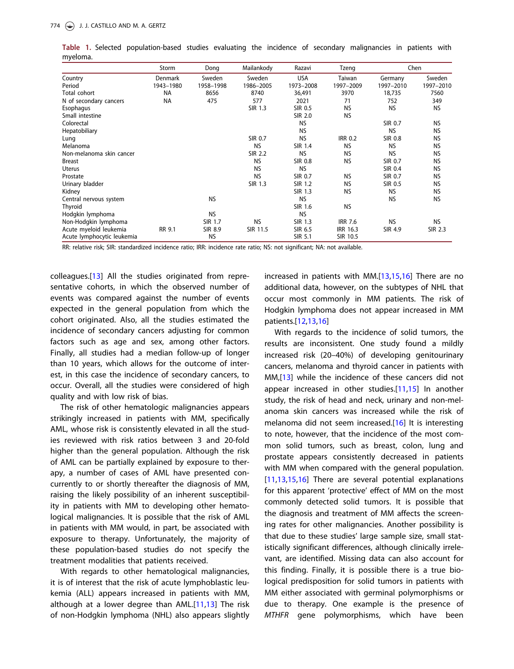|                            | Storm     | Dong      | Mailankody     | Razavi         | <b>Tzeng</b>    | Chen      |           |
|----------------------------|-----------|-----------|----------------|----------------|-----------------|-----------|-----------|
| Country                    | Denmark   | Sweden    | Sweden         | <b>USA</b>     | Taiwan          | Germany   | Sweden    |
| Period                     | 1943-1980 | 1958-1998 | 1986-2005      | 1973-2008      | 1997-2009       | 1997-2010 | 1997-2010 |
| Total cohort               | <b>NA</b> | 8656      | 8740           | 36,491         | 3970            | 18,735    | 7560      |
| N of secondary cancers     | <b>NA</b> | 475       | 577            | 2021           | 71              | 752       | 349       |
| Esophagus                  |           |           | SIR 1.3        | SIR 0.5        | <b>NS</b>       | <b>NS</b> | <b>NS</b> |
| Small intestine            |           |           |                | SIR 2.0        | <b>NS</b>       |           |           |
| Colorectal                 |           |           |                | <b>NS</b>      |                 | SIR 0.7   | <b>NS</b> |
| Hepatobiliary              |           |           |                | <b>NS</b>      |                 | <b>NS</b> | <b>NS</b> |
| Lung                       |           |           | SIR 0.7        | <b>NS</b>      | <b>IRR 0.2</b>  | SIR 0.8   | <b>NS</b> |
| Melanoma                   |           |           | <b>NS</b>      | SIR 1.4        | <b>NS</b>       | <b>NS</b> | <b>NS</b> |
| Non-melanoma skin cancer   |           |           | <b>SIR 2.2</b> | <b>NS</b>      | <b>NS</b>       | <b>NS</b> | <b>NS</b> |
| <b>Breast</b>              |           |           | <b>NS</b>      | SIR 0.8        | <b>NS</b>       | SIR 0.7   | <b>NS</b> |
| <b>Uterus</b>              |           |           | <b>NS</b>      | <b>NS</b>      |                 | SIR 0.4   | <b>NS</b> |
| Prostate                   |           |           | <b>NS</b>      | SIR 0.7        | <b>NS</b>       | SIR 0.7   | <b>NS</b> |
| Urinary bladder            |           |           | SIR 1.3        | SIR 1.2        | <b>NS</b>       | SIR 0.5   | <b>NS</b> |
| Kidney                     |           |           |                | SIR 1.3        | <b>NS</b>       | <b>NS</b> | <b>NS</b> |
| Central nervous system     |           | <b>NS</b> |                | <b>NS</b>      |                 | <b>NS</b> | <b>NS</b> |
| Thyroid                    |           |           |                | SIR 1.6        | <b>NS</b>       |           |           |
| Hodgkin lymphoma           |           | <b>NS</b> |                | <b>NS</b>      |                 |           |           |
| Non-Hodgkin lymphoma       |           | SIR 1.7   | <b>NS</b>      | <b>SIR 1.3</b> | <b>IRR 7.6</b>  | <b>NS</b> | <b>NS</b> |
| Acute myeloid leukemia     | RR 9.1    | SIR 8.9   | SIR 11.5       | SIR 6.5        | <b>IRR 16.3</b> | SIR 4.9   | SIR 2.3   |
| Acute lymphocytic leukemia |           | <b>NS</b> |                | SIR 5.1        | SIR 10.5        |           |           |

<span id="page-2-0"></span>Table 1. Selected population-based studies evaluating the incidence of secondary malignancies in patients with myeloma.

RR: relative risk; SIR: standardized incidence ratio; IRR: incidence rate ratio; NS: not significant; NA: not available.

colleagues.[\[13](#page-7-0)] All the studies originated from representative cohorts, in which the observed number of events was compared against the number of events expected in the general population from which the cohort originated. Also, all the studies estimated the incidence of secondary cancers adjusting for common factors such as age and sex, among other factors. Finally, all studies had a median follow-up of longer than 10 years, which allows for the outcome of interest, in this case the incidence of secondary cancers, to occur. Overall, all the studies were considered of high quality and with low risk of bias.

The risk of other hematologic malignancies appears strikingly increased in patients with MM, specifically AML, whose risk is consistently elevated in all the studies reviewed with risk ratios between 3 and 20-fold higher than the general population. Although the risk of AML can be partially explained by exposure to therapy, a number of cases of AML have presented concurrently to or shortly thereafter the diagnosis of MM, raising the likely possibility of an inherent susceptibility in patients with MM to developing other hematological malignancies. It is possible that the risk of AML in patients with MM would, in part, be associated with exposure to therapy. Unfortunately, the majority of these population-based studies do not specify the treatment modalities that patients received.

With regards to other hematological malignancies, it is of interest that the risk of acute lymphoblastic leukemia (ALL) appears increased in patients with MM, although at a lower degree than  $AML.[11,13]$  $AML.[11,13]$  The risk of non-Hodgkin lymphoma (NHL) also appears slightly increased in patients with MM.[[13,15,16](#page-7-0)] There are no additional data, however, on the subtypes of NHL that occur most commonly in MM patients. The risk of Hodgkin lymphoma does not appear increased in MM patients.[\[12,13,16](#page-7-0)]

With regards to the incidence of solid tumors, the results are inconsistent. One study found a mildly increased risk (20–40%) of developing genitourinary cancers, melanoma and thyroid cancer in patients with MM,[[13\]](#page-7-0) while the incidence of these cancers did not appear increased in other studies.[[11,15](#page-7-0)] In another study, the risk of head and neck, urinary and non-melanoma skin cancers was increased while the risk of melanoma did not seem increased.[\[16](#page-7-0)] It is interesting to note, however, that the incidence of the most common solid tumors, such as breast, colon, lung and prostate appears consistently decreased in patients with MM when compared with the general population. [[11,13,15,16\]](#page-7-0) There are several potential explanations for this apparent 'protective' effect of MM on the most commonly detected solid tumors. It is possible that the diagnosis and treatment of MM affects the screening rates for other malignancies. Another possibility is that due to these studies' large sample size, small statistically significant differences, although clinically irrelevant, are identified. Missing data can also account for this finding. Finally, it is possible there is a true biological predisposition for solid tumors in patients with MM either associated with germinal polymorphisms or due to therapy. One example is the presence of MTHFR gene polymorphisms, which have been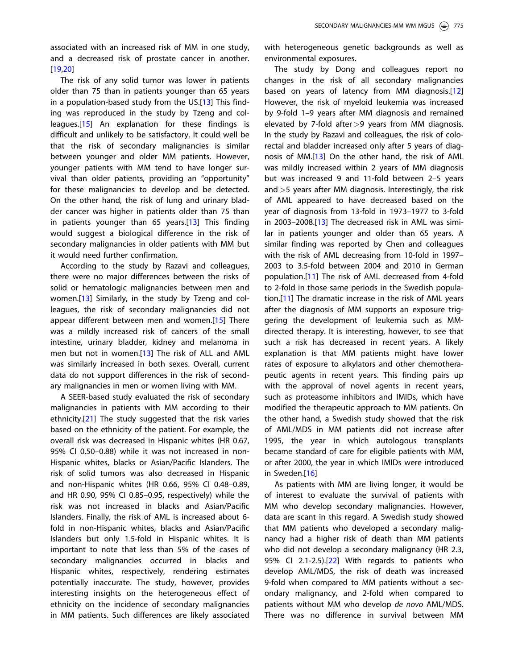<span id="page-3-0"></span>associated with an increased risk of MM in one study, and a decreased risk of prostate cancer in another. [[19,20](#page-7-0)]

The risk of any solid tumor was lower in patients older than 75 than in patients younger than 65 years in a population-based study from the US.[[13](#page-7-0)] This finding was reproduced in the study by Tzeng and colleagues.[[15](#page-7-0)] An explanation for these findings is difficult and unlikely to be satisfactory. It could well be that the risk of secondary malignancies is similar between younger and older MM patients. However, younger patients with MM tend to have longer survival than older patients, providing an "opportunity" for these malignancies to develop and be detected. On the other hand, the risk of lung and urinary bladder cancer was higher in patients older than 75 than in patients younger than  $65$  years.[[13\]](#page-7-0) This finding would suggest a biological difference in the risk of secondary malignancies in older patients with MM but it would need further confirmation.

According to the study by Razavi and colleagues, there were no major differences between the risks of solid or hematologic malignancies between men and women.[\[13\]](#page-7-0) Similarly, in the study by Tzeng and colleagues, the risk of secondary malignancies did not appear different between men and women.[[15\]](#page-7-0) There was a mildly increased risk of cancers of the small intestine, urinary bladder, kidney and melanoma in men but not in women.[[13](#page-7-0)] The risk of ALL and AML was similarly increased in both sexes. Overall, current data do not support differences in the risk of secondary malignancies in men or women living with MM.

A SEER-based study evaluated the risk of secondary malignancies in patients with MM according to their ethnicity.[\[21](#page-7-0)] The study suggested that the risk varies based on the ethnicity of the patient. For example, the overall risk was decreased in Hispanic whites (HR 0.67, 95% CI 0.50–0.88) while it was not increased in non-Hispanic whites, blacks or Asian/Pacific Islanders. The risk of solid tumors was also decreased in Hispanic and non-Hispanic whites (HR 0.66, 95% CI 0.48–0.89, and HR 0.90, 95% CI 0.85–0.95, respectively) while the risk was not increased in blacks and Asian/Pacific Islanders. Finally, the risk of AML is increased about 6 fold in non-Hispanic whites, blacks and Asian/Pacific Islanders but only 1.5-fold in Hispanic whites. It is important to note that less than 5% of the cases of secondary malignancies occurred in blacks and Hispanic whites, respectively, rendering estimates potentially inaccurate. The study, however, provides interesting insights on the heterogeneous effect of ethnicity on the incidence of secondary malignancies in MM patients. Such differences are likely associated

with heterogeneous genetic backgrounds as well as environmental exposures.

The study by Dong and colleagues report no changes in the risk of all secondary malignancies based on years of latency from MM diagnosis.[[12\]](#page-7-0) However, the risk of myeloid leukemia was increased by 9-fold 1–9 years after MM diagnosis and remained elevated by 7-fold after  $>9$  years from MM diagnosis. In the study by Razavi and colleagues, the risk of colorectal and bladder increased only after 5 years of diagnosis of MM.[\[13](#page-7-0)] On the other hand, the risk of AML was mildly increased within 2 years of MM diagnosis but was increased 9 and 11-fold between 2–5 years and >5 years after MM diagnosis. Interestingly, the risk of AML appeared to have decreased based on the year of diagnosis from 13-fold in 1973–1977 to 3-fold in 2003–2008.[[13](#page-7-0)] The decreased risk in AML was similar in patients younger and older than 65 years. A similar finding was reported by Chen and colleagues with the risk of AML decreasing from 10-fold in 1997– 2003 to 3.5-fold between 2004 and 2010 in German population.[[11\]](#page-7-0) The risk of AML decreased from 4-fold to 2-fold in those same periods in the Swedish population.[\[11](#page-7-0)] The dramatic increase in the risk of AML years after the diagnosis of MM supports an exposure triggering the development of leukemia such as MMdirected therapy. It is interesting, however, to see that such a risk has decreased in recent years. A likely explanation is that MM patients might have lower rates of exposure to alkylators and other chemotherapeutic agents in recent years. This finding pairs up with the approval of novel agents in recent years, such as proteasome inhibitors and IMIDs, which have modified the therapeutic approach to MM patients. On the other hand, a Swedish study showed that the risk of AML/MDS in MM patients did not increase after 1995, the year in which autologous transplants became standard of care for eligible patients with MM, or after 2000, the year in which IMIDs were introduced in Sweden.[\[16](#page-7-0)]

As patients with MM are living longer, it would be of interest to evaluate the survival of patients with MM who develop secondary malignancies. However, data are scant in this regard. A Swedish study showed that MM patients who developed a secondary malignancy had a higher risk of death than MM patients who did not develop a secondary malignancy (HR 2.3, 95% CI 2.1-2.5).[\[22\]](#page-7-0) With regards to patients who develop AML/MDS, the risk of death was increased 9-fold when compared to MM patients without a secondary malignancy, and 2-fold when compared to patients without MM who develop de novo AML/MDS. There was no difference in survival between MM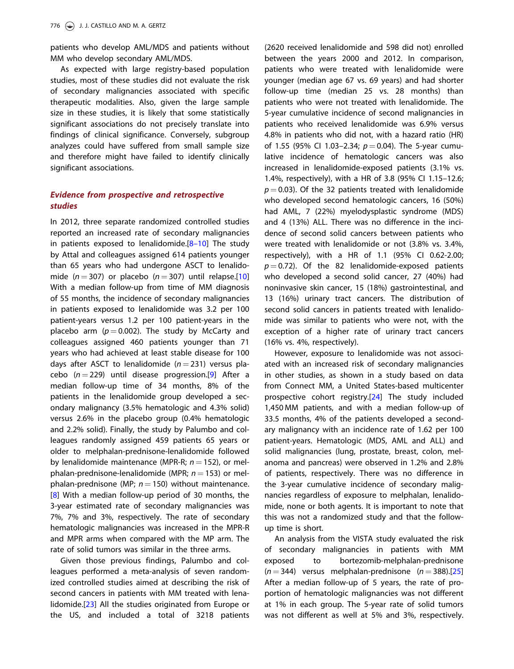<span id="page-4-0"></span>patients who develop AML/MDS and patients without MM who develop secondary AML/MDS.

As expected with large registry-based population studies, most of these studies did not evaluate the risk of secondary malignancies associated with specific therapeutic modalities. Also, given the large sample size in these studies, it is likely that some statistically significant associations do not precisely translate into findings of clinical significance. Conversely, subgroup analyzes could have suffered from small sample size and therefore might have failed to identify clinically significant associations.

#### Evidence from prospective and retrospective studies

In 2012, three separate randomized controlled studies reported an increased rate of secondary malignancies in patients exposed to lenalidomide. $[8-10]$  $[8-10]$  The study by Attal and colleagues assigned 614 patients younger than 65 years who had undergone ASCT to lenalidomide ( $n = 307$ ) or placebo ( $n = 307$ ) until relapse.[[10\]](#page-7-0) With a median follow-up from time of MM diagnosis of 55 months, the incidence of secondary malignancies in patients exposed to lenalidomide was 3.2 per 100 patient-years versus 1.2 per 100 patient-years in the placebo arm ( $p = 0.002$ ). The study by McCarty and colleagues assigned 460 patients younger than 71 years who had achieved at least stable disease for 100 days after ASCT to lenalidomide ( $n = 231$ ) versus placebo ( $n = 229$ ) until disease progression.<sup>[[9\]](#page-7-0)</sup> After a median follow-up time of 34 months, 8% of the patients in the lenalidomide group developed a secondary malignancy (3.5% hematologic and 4.3% solid) versus 2.6% in the placebo group (0.4% hematologic and 2.2% solid). Finally, the study by Palumbo and colleagues randomly assigned 459 patients 65 years or older to melphalan-prednisone-lenalidomide followed by lenalidomide maintenance (MPR-R;  $n = 152$ ), or melphalan-prednisone-lenalidomide (MPR;  $n = 153$ ) or melphalan-prednisone (MP;  $n = 150$ ) without maintenance. [[8\]](#page-7-0) With a median follow-up period of 30 months, the 3-year estimated rate of secondary malignancies was 7%, 7% and 3%, respectively. The rate of secondary hematologic malignancies was increased in the MPR-R and MPR arms when compared with the MP arm. The rate of solid tumors was similar in the three arms.

Given those previous findings, Palumbo and colleagues performed a meta-analysis of seven randomized controlled studies aimed at describing the risk of second cancers in patients with MM treated with lenalidomide.[[23\]](#page-7-0) All the studies originated from Europe or the US, and included a total of 3218 patients

(2620 received lenalidomide and 598 did not) enrolled between the years 2000 and 2012. In comparison, patients who were treated with lenalidomide were younger (median age 67 vs. 69 years) and had shorter follow-up time (median 25 vs. 28 months) than patients who were not treated with lenalidomide. The 5-year cumulative incidence of second malignancies in patients who received lenalidomide was 6.9% versus 4.8% in patients who did not, with a hazard ratio (HR) of 1.55 (95% CI 1.03–2.34;  $p = 0.04$ ). The 5-year cumulative incidence of hematologic cancers was also increased in lenalidomide-exposed patients (3.1% vs. 1.4%, respectively), with a HR of 3.8 (95% CI 1.15–12.6;  $p = 0.03$ ). Of the 32 patients treated with lenalidomide who developed second hematologic cancers, 16 (50%) had AML, 7 (22%) myelodysplastic syndrome (MDS) and 4 (13%) ALL. There was no difference in the incidence of second solid cancers between patients who were treated with lenalidomide or not (3.8% vs. 3.4%, respectively), with a HR of 1.1 (95% CI 0.62-2.00;  $p = 0.72$ ). Of the 82 lenalidomide-exposed patients who developed a second solid cancer, 27 (40%) had noninvasive skin cancer, 15 (18%) gastrointestinal, and 13 (16%) urinary tract cancers. The distribution of second solid cancers in patients treated with lenalidomide was similar to patients who were not, with the exception of a higher rate of urinary tract cancers (16% vs. 4%, respectively).

However, exposure to lenalidomide was not associated with an increased risk of secondary malignancies in other studies, as shown in a study based on data from Connect MM, a United States-based multicenter prospective cohort registry.[\[24\]](#page-7-0) The study included 1,450 MM patients, and with a median follow-up of 33.5 months, 4% of the patients developed a secondary malignancy with an incidence rate of 1.62 per 100 patient-years. Hematologic (MDS, AML and ALL) and solid malignancies (lung, prostate, breast, colon, melanoma and pancreas) were observed in 1.2% and 2.8% of patients, respectively. There was no difference in the 3-year cumulative incidence of secondary malignancies regardless of exposure to melphalan, lenalidomide, none or both agents. It is important to note that this was not a randomized study and that the followup time is short.

An analysis from the VISTA study evaluated the risk of secondary malignancies in patients with MM exposed to bortezomib-melphalan-prednisone  $(n = 344)$  versus melphalan-prednisone  $(n = 388)$ .[[25\]](#page-7-0) After a median follow-up of 5 years, the rate of proportion of hematologic malignancies was not different at 1% in each group. The 5-year rate of solid tumors was not different as well at 5% and 3%, respectively.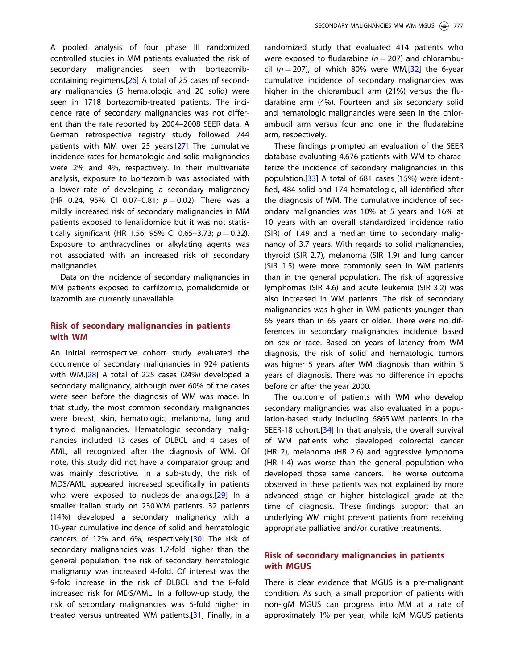<span id="page-5-0"></span>A pooled analysis of four phase III randomized controlled studies in MM patients evaluated the risk of secondary malignancies seen with bortezomibcontaining regimens.[[26](#page-7-0)] A total of 25 cases of secondary malignancies (5 hematologic and 20 solid) were seen in 1718 bortezomib-treated patients. The incidence rate of secondary malignancies was not different than the rate reported by 2004–2008 SEER data. A German retrospective registry study followed 744 patients with MM over 25 years.[\[27](#page-7-0)] The cumulative incidence rates for hematologic and solid malignancies were 2% and 4%, respectively. In their multivariate analysis, exposure to bortezomib was associated with a lower rate of developing a secondary malignancy (HR 0.24, 95% CI 0.07-0.81;  $p = 0.02$ ). There was a mildly increased risk of secondary malignancies in MM patients exposed to lenalidomide but it was not statistically significant (HR 1.56, 95% CI 0.65–3.73;  $p = 0.32$ ). Exposure to anthracyclines or alkylating agents was not associated with an increased risk of secondary malignancies.

Data on the incidence of secondary malignancies in MM patients exposed to carfilzomib, pomalidomide or ixazomib are currently unavailable.

#### Risk of secondary malignancies in patients with WM

An initial retrospective cohort study evaluated the occurrence of secondary malignancies in 924 patients with WM.[[28](#page-8-0)] A total of 225 cases (24%) developed a secondary malignancy, although over 60% of the cases were seen before the diagnosis of WM was made. In that study, the most common secondary malignancies were breast, skin, hematologic, melanoma, lung and thyroid malignancies. Hematologic secondary malignancies included 13 cases of DLBCL and 4 cases of AML, all recognized after the diagnosis of WM. Of note, this study did not have a comparator group and was mainly descriptive. In a sub-study, the risk of MDS/AML appeared increased specifically in patients who were exposed to nucleoside analogs.<sup>[\[29](#page-8-0)]</sup> In a smaller Italian study on 230 WM patients, 32 patients (14%) developed a secondary malignancy with a 10-year cumulative incidence of solid and hematologic cancers of 12% and 6%, respectively.[\[30](#page-8-0)] The risk of secondary malignancies was 1.7-fold higher than the general population; the risk of secondary hematologic malignancy was increased 4-fold. Of interest was the 9-fold increase in the risk of DLBCL and the 8-fold increased risk for MDS/AML. In a follow-up study, the risk of secondary malignancies was 5-fold higher in treated versus untreated WM patients.[\[31](#page-8-0)] Finally, in a randomized study that evaluated 414 patients who were exposed to fludarabine ( $n = 207$ ) and chlorambucil ( $n = 207$ ), of which 80% were WM,[[32\]](#page-8-0) the 6-year cumulative incidence of secondary malignancies was higher in the chlorambucil arm (21%) versus the fludarabine arm (4%). Fourteen and six secondary solid and hematologic malignancies were seen in the chlorambucil arm versus four and one in the fludarabine arm, respectively.

These findings prompted an evaluation of the SEER database evaluating 4,676 patients with WM to characterize the incidence of secondary malignancies in this population.[[33\]](#page-8-0) A total of 681 cases (15%) were identified, 484 solid and 174 hematologic, all identified after the diagnosis of WM. The cumulative incidence of secondary malignancies was 10% at 5 years and 16% at 10 years with an overall standardized incidence ratio (SIR) of 1.49 and a median time to secondary malignancy of 3.7 years. With regards to solid malignancies, thyroid (SIR 2.7), melanoma (SIR 1.9) and lung cancer (SIR 1.5) were more commonly seen in WM patients than in the general population. The risk of aggressive lymphomas (SIR 4.6) and acute leukemia (SIR 3.2) was also increased in WM patients. The risk of secondary malignancies was higher in WM patients younger than 65 years than in 65 years or older. There were no differences in secondary malignancies incidence based on sex or race. Based on years of latency from WM diagnosis, the risk of solid and hematologic tumors was higher 5 years after WM diagnosis than within 5 years of diagnosis. There was no difference in epochs before or after the year 2000.

The outcome of patients with WM who develop secondary malignancies was also evaluated in a population-based study including 6865 WM patients in the SEER-18 cohort.<sup>[[34](#page-8-0)]</sup> In that analysis, the overall survival of WM patients who developed colorectal cancer (HR 2), melanoma (HR 2.6) and aggressive lymphoma (HR 1.4) was worse than the general population who developed those same cancers. The worse outcome observed in these patients was not explained by more advanced stage or higher histological grade at the time of diagnosis. These findings support that an underlying WM might prevent patients from receiving appropriate palliative and/or curative treatments.

#### Risk of secondary malignancies in patients with MGUS

There is clear evidence that MGUS is a pre-malignant condition. As such, a small proportion of patients with non-IgM MGUS can progress into MM at a rate of approximately 1% per year, while IgM MGUS patients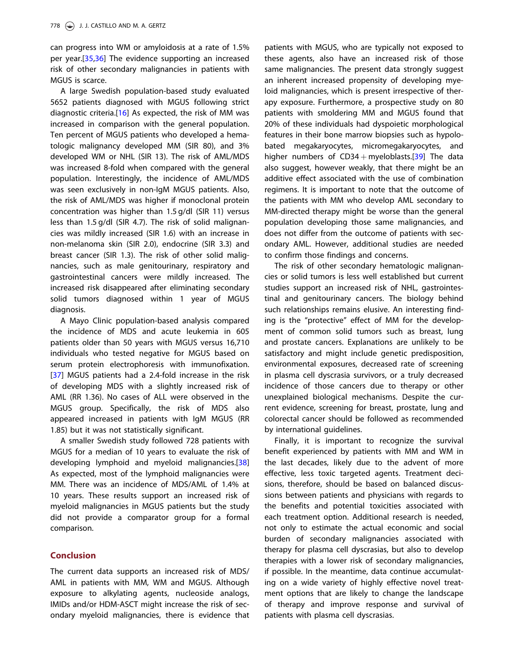<span id="page-6-0"></span>can progress into WM or amyloidosis at a rate of 1.5% per year.[\[35,36\]](#page-8-0) The evidence supporting an increased risk of other secondary malignancies in patients with MGUS is scarce.

A large Swedish population-based study evaluated 5652 patients diagnosed with MGUS following strict diagnostic criteria.[\[16](#page-7-0)] As expected, the risk of MM was increased in comparison with the general population. Ten percent of MGUS patients who developed a hematologic malignancy developed MM (SIR 80), and 3% developed WM or NHL (SIR 13). The risk of AML/MDS was increased 8-fold when compared with the general population. Interestingly, the incidence of AML/MDS was seen exclusively in non-IgM MGUS patients. Also, the risk of AML/MDS was higher if monoclonal protein concentration was higher than 1.5 g/dl (SIR 11) versus less than 1.5 g/dl (SIR 4.7). The risk of solid malignancies was mildly increased (SIR 1.6) with an increase in non-melanoma skin (SIR 2.0), endocrine (SIR 3.3) and breast cancer (SIR 1.3). The risk of other solid malignancies, such as male genitourinary, respiratory and gastrointestinal cancers were mildly increased. The increased risk disappeared after eliminating secondary solid tumors diagnosed within 1 year of MGUS diagnosis.

A Mayo Clinic population-based analysis compared the incidence of MDS and acute leukemia in 605 patients older than 50 years with MGUS versus 16,710 individuals who tested negative for MGUS based on serum protein electrophoresis with immunofixation. [[37\]](#page-8-0) MGUS patients had a 2.4-fold increase in the risk of developing MDS with a slightly increased risk of AML (RR 1.36). No cases of ALL were observed in the MGUS group. Specifically, the risk of MDS also appeared increased in patients with IgM MGUS (RR 1.85) but it was not statistically significant.

A smaller Swedish study followed 728 patients with MGUS for a median of 10 years to evaluate the risk of developing lymphoid and myeloid malignancies.[[38\]](#page-8-0) As expected, most of the lymphoid malignancies were MM. There was an incidence of MDS/AML of 1.4% at 10 years. These results support an increased risk of myeloid malignancies in MGUS patients but the study did not provide a comparator group for a formal comparison.

#### Conclusion

The current data supports an increased risk of MDS/ AML in patients with MM, WM and MGUS. Although exposure to alkylating agents, nucleoside analogs, IMIDs and/or HDM-ASCT might increase the risk of secondary myeloid malignancies, there is evidence that patients with MGUS, who are typically not exposed to these agents, also have an increased risk of those same malignancies. The present data strongly suggest an inherent increased propensity of developing myeloid malignancies, which is present irrespective of therapy exposure. Furthermore, a prospective study on 80 patients with smoldering MM and MGUS found that 20% of these individuals had dyspoietic morphological features in their bone marrow biopsies such as hypolobated megakaryocytes, micromegakaryocytes, and higher numbers of CD34  $+$  myeloblasts.[[39\]](#page-8-0) The data also suggest, however weakly, that there might be an additive effect associated with the use of combination regimens. It is important to note that the outcome of the patients with MM who develop AML secondary to MM-directed therapy might be worse than the general population developing those same malignancies, and does not differ from the outcome of patients with secondary AML. However, additional studies are needed to confirm those findings and concerns.

The risk of other secondary hematologic malignancies or solid tumors is less well established but current studies support an increased risk of NHL, gastrointestinal and genitourinary cancers. The biology behind such relationships remains elusive. An interesting finding is the "protective" effect of MM for the development of common solid tumors such as breast, lung and prostate cancers. Explanations are unlikely to be satisfactory and might include genetic predisposition, environmental exposures, decreased rate of screening in plasma cell dyscrasia survivors, or a truly decreased incidence of those cancers due to therapy or other unexplained biological mechanisms. Despite the current evidence, screening for breast, prostate, lung and colorectal cancer should be followed as recommended by international guidelines.

Finally, it is important to recognize the survival benefit experienced by patients with MM and WM in the last decades, likely due to the advent of more effective, less toxic targeted agents. Treatment decisions, therefore, should be based on balanced discussions between patients and physicians with regards to the benefits and potential toxicities associated with each treatment option. Additional research is needed, not only to estimate the actual economic and social burden of secondary malignancies associated with therapy for plasma cell dyscrasias, but also to develop therapies with a lower risk of secondary malignancies, if possible. In the meantime, data continue accumulating on a wide variety of highly effective novel treatment options that are likely to change the landscape of therapy and improve response and survival of patients with plasma cell dyscrasias.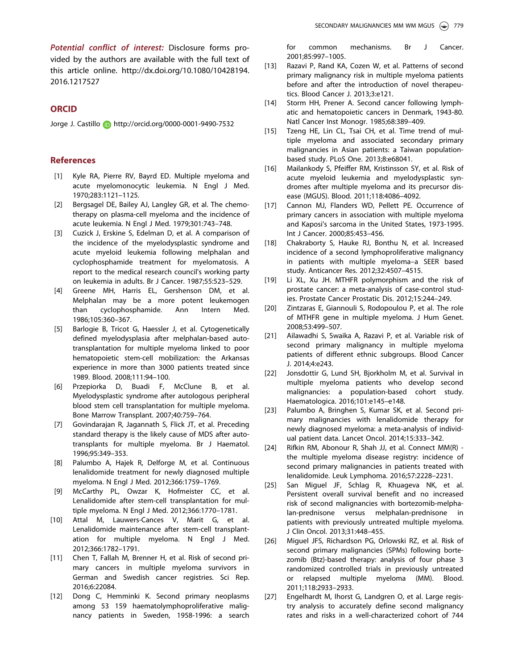<span id="page-7-0"></span>Potential conflict of interest: Disclosure forms provided by the authors are available with the full text of this article online. [http://dx.doi.org/10.1080/10428194.](http://dx.doi.org/10.1080/10428194.2016.1217527) [2016.1217527](http://dx.doi.org/10.1080/10428194.2016.1217527)

#### ORCID

Jorge J. Castillo http://orcid.org/0000-0001-9490-7532

#### **References**

- [\[1\]](#page-1-0) Kyle RA, Pierre RV, Bayrd ED. Multiple myeloma and acute myelomonocytic leukemia. N Engl J Med. 1970;283:1121–1125.
- [\[2\]](#page-1-0) Bergsagel DE, Bailey AJ, Langley GR, et al. The chemotherapy on plasma-cell myeloma and the incidence of acute leukemia. N Engl J Med. 1979;301:743–748.
- [\[3\]](#page-1-0) Cuzick J, Erskine S, Edelman D, et al. A comparison of the incidence of the myelodysplastic syndrome and acute myeloid leukemia following melphalan and cyclophosphamide treatment for myelomatosis. A report to the medical research council's working party on leukemia in adults. Br J Cancer. 1987;55:523–529.
- [\[4\]](#page-1-0) Greene MH, Harris EL, Gershenson DM, et al. Melphalan may be a more potent leukemogen than cyclophosphamide. Ann Intern Med. 1986;105:360–367.
- [\[5\]](#page-1-0) Barlogie B, Tricot G, Haessler J, et al. Cytogenetically defined myelodysplasia after melphalan-based autotransplantation for multiple myeloma linked to poor hematopoietic stem-cell mobilization: the Arkansas experience in more than 3000 patients treated since 1989. Blood. 2008;111:94–100.
- [\[6\]](#page-1-0) Przepiorka D, Buadi F, McClune B, et al. Myelodysplastic syndrome after autologous peripheral blood stem cell transplantation for multiple myeloma. Bone Marrow Transplant. 2007;40:759–764.
- [\[7\]](#page-1-0) Govindarajan R, Jagannath S, Flick JT, et al. Preceding standard therapy is the likely cause of MDS after autotransplants for multiple myeloma. Br J Haematol. 1996;95:349–353.
- [\[8\]](#page-1-0) Palumbo A, Hajek R, Delforge M, et al. Continuous lenalidomide treatment for newly diagnosed multiple myeloma. N Engl J Med. 2012;366:1759–1769.
- [\[9\]](#page-4-0) McCarthy PL, Owzar K, Hofmeister CC, et al. Lenalidomide after stem-cell transplantation for multiple myeloma. N Engl J Med. 2012;366:1770–1781.
- [\[10\]](#page-4-0) Attal M, Lauwers-Cances V, Marit G, et al. Lenalidomide maintenance after stem-cell transplantation for multiple myeloma. N Engl J Med. 2012;366:1782–1791.
- [\[11\]](#page-1-0) Chen T, Fallah M, Brenner H, et al. Risk of second primary cancers in multiple myeloma survivors in German and Swedish cancer registries. Sci Rep. 2016;6:22084.
- [\[12\]](#page-2-0) Dong C, Hemminki K. Second primary neoplasms among 53 159 haematolymphoproliferative malignancy patients in Sweden, 1958-1996: a search

for common mechanisms. Br J Cancer. 2001;85:997–1005.

- [\[13\]](#page-2-0) Razavi P, Rand KA, Cozen W, et al. Patterns of second primary malignancy risk in multiple myeloma patients before and after the introduction of novel therapeutics. Blood Cancer J. 2013;3:e121.
- [14] Storm HH, Prener A. Second cancer following lymphatic and hematopoietic cancers in Denmark, 1943-80. Natl Cancer Inst Monogr. 1985;68:389–409.
- [\[15\]](#page-2-0) Tzeng HE, Lin CL, Tsai CH, et al. Time trend of multiple myeloma and associated secondary primary malignancies in Asian patients: a Taiwan populationbased study. PLoS One. 2013;8:e68041.
- [\[16\]](#page-2-0) Mailankody S, Pfeiffer RM, Kristinsson SY, et al. Risk of acute myeloid leukemia and myelodysplastic syndromes after multiple myeloma and its precursor disease (MGUS). Blood. 2011;118:4086–4092.
- [\[17\]](#page-1-0) Cannon MJ, Flanders WD, Pellett PE. Occurrence of primary cancers in association with multiple myeloma and Kaposi's sarcoma in the United States, 1973-1995. Int J Cancer. 2000;85:453–456.
- [\[18\]](#page-1-0) Chakraborty S, Hauke RJ, Bonthu N, et al. Increased incidence of a second lymphoproliferative malignancy in patients with multiple myeloma–a SEER based study. Anticancer Res. 2012;32:4507–4515.
- [\[19\]](#page-3-0) Li XL, Xu JH. MTHFR polymorphism and the risk of prostate cancer: a meta-analysis of case-control studies. Prostate Cancer Prostatic Dis. 2012;15:244–249.
- [\[20\]](#page-3-0) Zintzaras E, Giannouli S, Rodopoulou P, et al. The role of MTHFR gene in multiple myeloma. J Hum Genet. 2008;53:499–507.
- [\[21\]](#page-3-0) Ailawadhi S, Swaika A, Razavi P, et al. Variable risk of second primary malignancy in multiple myeloma patients of different ethnic subgroups. Blood Cancer J. 2014;4:e243.
- [\[22\]](#page-3-0) Jonsdottir G, Lund SH, Bjorkholm M, et al. Survival in multiple myeloma patients who develop second malignancies: a population-based cohort study. Haematologica. 2016;101:e145–e148.
- [\[23\]](#page-4-0) Palumbo A, Bringhen S, Kumar SK, et al. Second primary malignancies with lenalidomide therapy for newly diagnosed myeloma: a meta-analysis of individual patient data. Lancet Oncol. 2014;15:333–342.
- [\[24\]](#page-4-0) Rifkin RM, Abonour R, Shah JJ, et al. Connect MM(R) the multiple myeloma disease registry: incidence of second primary malignancies in patients treated with lenalidomide. Leuk Lymphoma. 2016;57:2228–2231.
- [\[25\]](#page-4-0) San Miguel JF, Schlag R, Khuageva NK, et al. Persistent overall survival benefit and no increased risk of second malignancies with bortezomib-melphalan-prednisone versus melphalan-prednisone in patients with previously untreated multiple myeloma. J Clin Oncol. 2013;31:448–455.
- [\[26\]](#page-5-0) Miguel JFS, Richardson PG, Orlowski RZ, et al. Risk of second primary malignancies (SPMs) following bortezomib (Btz)-based therapy: analysis of four phase 3 randomized controlled trials in previously untreated or relapsed multiple myeloma (MM). Blood. 2011;118:2933–2933.
- [\[27\]](#page-5-0) Engelhardt M, Ihorst G, Landgren O, et al. Large registry analysis to accurately define second malignancy rates and risks in a well-characterized cohort of 744